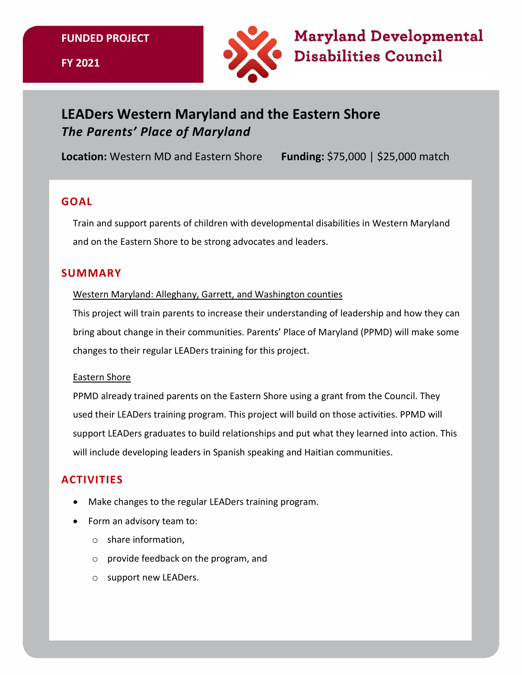**FUNDED PROJECT**



**Maryland Developmental Disabilities Council** 

# **LEADers Western Maryland and the Eastern Shore**  *The Parents' Place of Maryland*

**Location:** Western MD and Eastern Shore **Funding:** \$75,000 | \$25,000 match

# **GOAL**

Train and support parents of children with developmental disabilities in Western Maryland and on the Eastern Shore to be strong advocates and leaders.

# **SUMMARY**

#### Western Maryland: Alleghany, Garrett, and Washington counties

This project will train parents to increase their understanding of leadership and how they can bring about change in their communities. Parents' Place of Maryland (PPMD) will make some changes to their regular LEADers training for this project.

#### Eastern Shore

PPMD already trained parents on the Eastern Shore using a grant from the Council. They used their LEADers training program. This project will build on those activities. PPMD will support LEADers graduates to build relationships and put what they learned into action. This will include developing leaders in Spanish speaking and Haitian communities.

# **ACTIVITIES**

- Make changes to the regular LEADers training program.
- Form an advisory team to:
	- o share information,
	- o provide feedback on the program, and
	- o support new LEADers.